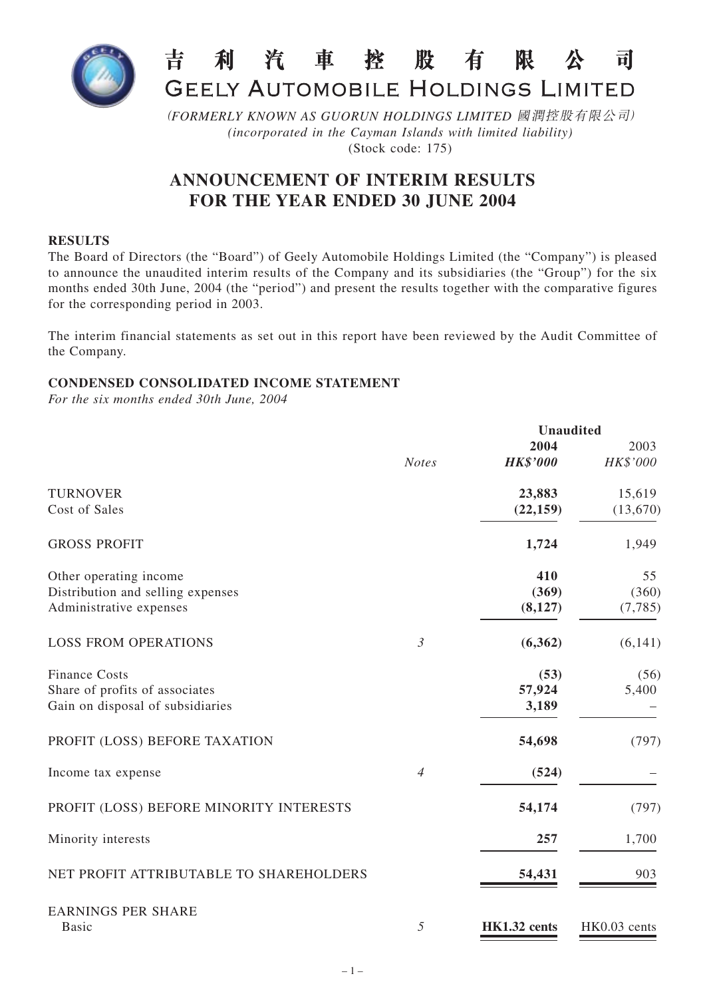

#### 吉 利汽車控股有 限 *外* 司 GEELY AUTOMOBILE HOLDINGS LIMITED

(*FORMERLY KNOWN AS GUORUN HOLDINGS LIMITED* 國潤控股有限公司) *(incorporated in the Cayman Islands with limited liability)* (Stock code: 175)

# **ANNOUNCEMENT OF INTERIM RESULTS FOR THE YEAR ENDED 30 JUNE 2004**

#### **RESULTS**

The Board of Directors (the "Board") of Geely Automobile Holdings Limited (the "Company") is pleased to announce the unaudited interim results of the Company and its subsidiaries (the "Group") for the six months ended 30th June, 2004 (the "period") and present the results together with the comparative figures for the corresponding period in 2003.

The interim financial statements as set out in this report have been reviewed by the Audit Committee of the Company.

## **CONDENSED CONSOLIDATED INCOME STATEMENT**

*For the six months ended 30th June, 2004*

|                                         |                |                 | <b>Unaudited</b> |
|-----------------------------------------|----------------|-----------------|------------------|
|                                         |                | 2004            | 2003             |
|                                         | <b>Notes</b>   | <b>HK\$'000</b> | HK\$'000         |
| <b>TURNOVER</b>                         |                | 23,883          | 15,619           |
| Cost of Sales                           |                | (22, 159)       | (13, 670)        |
| <b>GROSS PROFIT</b>                     |                | 1,724           | 1,949            |
| Other operating income                  |                | 410             | 55               |
| Distribution and selling expenses       |                | (369)           | (360)            |
| Administrative expenses                 |                | (8,127)         | (7, 785)         |
| <b>LOSS FROM OPERATIONS</b>             | $\mathfrak{Z}$ | (6,362)         | (6,141)          |
| <b>Finance Costs</b>                    |                | (53)            | (56)             |
| Share of profits of associates          |                | 57,924          | 5,400            |
| Gain on disposal of subsidiaries        |                | 3,189           |                  |
| PROFIT (LOSS) BEFORE TAXATION           |                | 54,698          | (797)            |
| Income tax expense                      | $\overline{4}$ | (524)           |                  |
| PROFIT (LOSS) BEFORE MINORITY INTERESTS |                | 54,174          | (797)            |
| Minority interests                      |                | 257             | 1,700            |
| NET PROFIT ATTRIBUTABLE TO SHAREHOLDERS |                | 54,431          | 903              |
| <b>EARNINGS PER SHARE</b>               |                |                 |                  |
| <b>Basic</b>                            | 5              | HK1.32 cents    | HK0.03 cents     |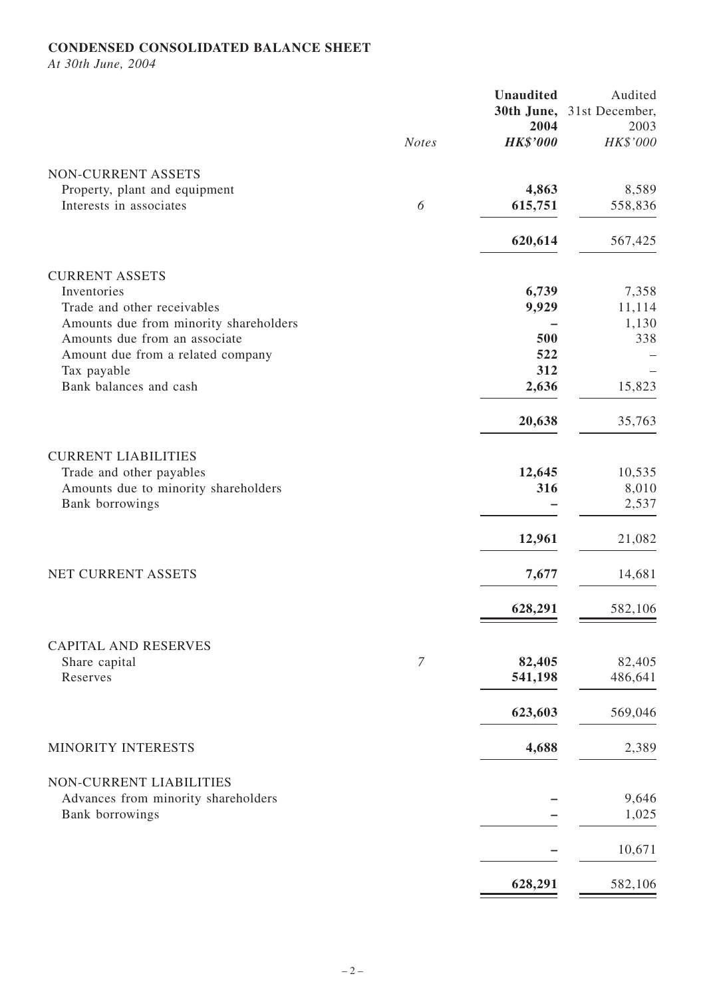## **CONDENSED CONSOLIDATED BALANCE SHEET**

*At 30th June, 2004*

|                                        | <b>Notes</b> | <b>Unaudited</b><br>2004<br><b>HK\$'000</b> | Audited<br>30th June, 31st December,<br>2003<br>HK\$'000 |
|----------------------------------------|--------------|---------------------------------------------|----------------------------------------------------------|
| NON-CURRENT ASSETS                     |              |                                             |                                                          |
| Property, plant and equipment          |              | 4,863                                       | 8,589                                                    |
| Interests in associates                | 6            | 615,751                                     | 558,836                                                  |
|                                        |              | 620,614                                     | 567,425                                                  |
| <b>CURRENT ASSETS</b>                  |              |                                             |                                                          |
| Inventories                            |              | 6,739                                       | 7,358                                                    |
| Trade and other receivables            |              | 9,929                                       | 11,114                                                   |
| Amounts due from minority shareholders |              |                                             | 1,130                                                    |
| Amounts due from an associate          |              | 500                                         | 338                                                      |
| Amount due from a related company      |              | 522<br>312                                  |                                                          |
| Tax payable<br>Bank balances and cash  |              | 2,636                                       | 15,823                                                   |
|                                        |              |                                             |                                                          |
|                                        |              | 20,638                                      | 35,763                                                   |
| <b>CURRENT LIABILITIES</b>             |              |                                             |                                                          |
| Trade and other payables               |              | 12,645                                      | 10,535                                                   |
| Amounts due to minority shareholders   |              | 316                                         | 8,010                                                    |
| Bank borrowings                        |              |                                             | 2,537                                                    |
|                                        |              | 12,961                                      | 21,082                                                   |
| NET CURRENT ASSETS                     |              | 7,677                                       | 14,681                                                   |
|                                        |              | 628,291                                     | 582,106                                                  |
| <b>CAPITAL AND RESERVES</b>            |              |                                             |                                                          |
| Share capital                          | 7            | 82,405                                      | 82,405                                                   |
| Reserves                               |              | 541,198                                     | 486,641                                                  |
|                                        |              | 623,603                                     | 569,046                                                  |
| MINORITY INTERESTS                     |              | 4,688                                       | 2,389                                                    |
| NON-CURRENT LIABILITIES                |              |                                             |                                                          |
| Advances from minority shareholders    |              |                                             | 9,646                                                    |
| Bank borrowings                        |              |                                             | 1,025                                                    |
|                                        |              |                                             | 10,671                                                   |
|                                        |              | 628,291                                     | 582,106                                                  |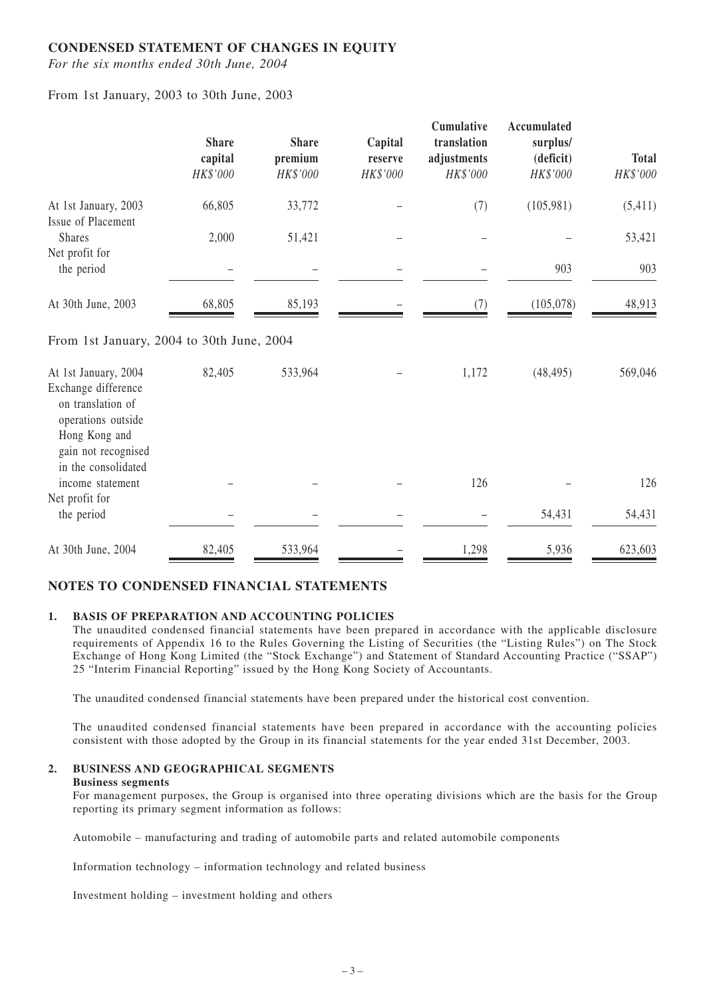#### **CONDENSED STATEMENT OF CHANGES IN EQUITY**

*For the six months ended 30th June, 2004*

From 1st January, 2003 to 30th June, 2003

|                                                                                                                                | <b>Share</b><br>capital<br>HK\$'000 | <b>Share</b><br>premium<br>HK\$'000 | Capital<br>reserve<br>HK\$'000 | Cumulative<br>translation<br>adjustments<br>HK\$'000 | Accumulated<br>surplus/<br>(deficit)<br>HK\$'000 | <b>Total</b><br>HK\$'000 |
|--------------------------------------------------------------------------------------------------------------------------------|-------------------------------------|-------------------------------------|--------------------------------|------------------------------------------------------|--------------------------------------------------|--------------------------|
| At 1st January, 2003<br>Issue of Placement                                                                                     | 66,805                              | 33,772                              |                                | (7)                                                  | (105, 981)                                       | (5, 411)                 |
| <b>Shares</b><br>Net profit for                                                                                                | 2,000                               | 51,421                              |                                |                                                      |                                                  | 53,421                   |
| the period                                                                                                                     |                                     |                                     |                                |                                                      | 903                                              | 903                      |
| At 30th June, 2003                                                                                                             | 68,805                              | 85,193                              |                                | (7)                                                  | (105, 078)                                       | 48,913                   |
| From 1st January, 2004 to 30th June, 2004                                                                                      |                                     |                                     |                                |                                                      |                                                  |                          |
| At 1st January, 2004<br>Exchange difference<br>on translation of<br>operations outside<br>Hong Kong and<br>gain not recognised | 82,405                              | 533,964                             |                                | 1,172                                                | (48, 495)                                        | 569,046                  |
| in the consolidated<br>income statement                                                                                        |                                     |                                     |                                | 126                                                  |                                                  | 126                      |
| Net profit for<br>the period                                                                                                   |                                     |                                     |                                |                                                      | 54,431                                           | 54,431                   |
| At 30th June, 2004                                                                                                             | 82,405                              | 533,964                             |                                | 1,298                                                | 5,936                                            | 623,603                  |

## **NOTES TO CONDENSED FINANCIAL STATEMENTS**

#### **1. BASIS OF PREPARATION AND ACCOUNTING POLICIES**

The unaudited condensed financial statements have been prepared in accordance with the applicable disclosure requirements of Appendix 16 to the Rules Governing the Listing of Securities (the "Listing Rules") on The Stock Exchange of Hong Kong Limited (the "Stock Exchange") and Statement of Standard Accounting Practice ("SSAP") 25 "Interim Financial Reporting" issued by the Hong Kong Society of Accountants.

The unaudited condensed financial statements have been prepared under the historical cost convention.

The unaudited condensed financial statements have been prepared in accordance with the accounting policies consistent with those adopted by the Group in its financial statements for the year ended 31st December, 2003.

#### **2. BUSINESS AND GEOGRAPHICAL SEGMENTS**

#### **Business segments**

For management purposes, the Group is organised into three operating divisions which are the basis for the Group reporting its primary segment information as follows:

Automobile – manufacturing and trading of automobile parts and related automobile components

Information technology – information technology and related business

Investment holding – investment holding and others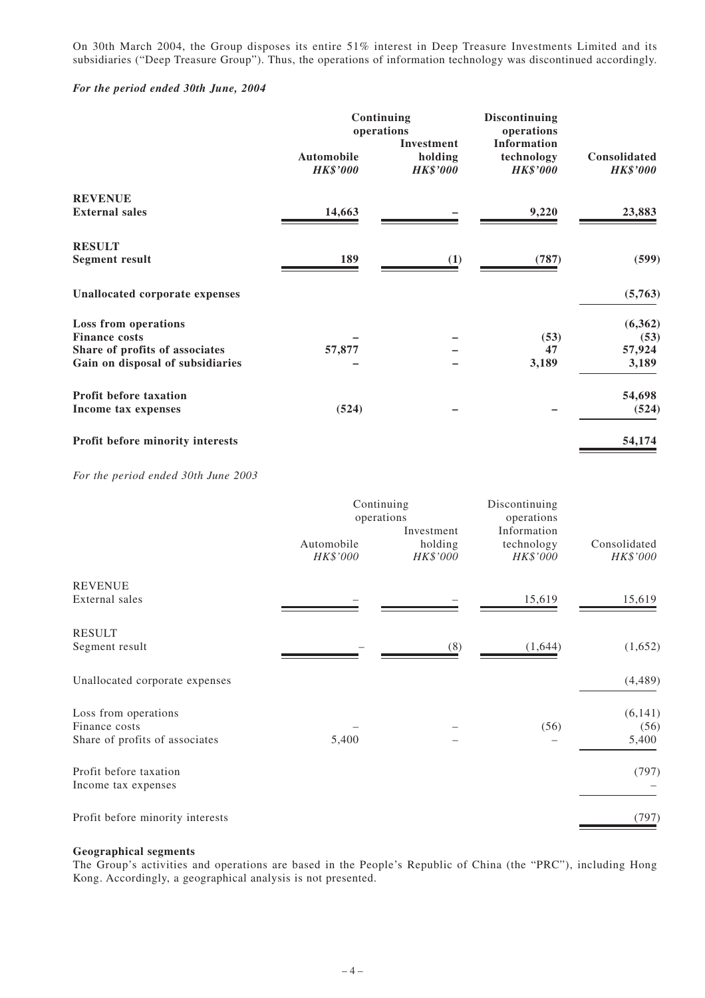On 30th March 2004, the Group disposes its entire 51% interest in Deep Treasure Investments Limited and its subsidiaries ("Deep Treasure Group"). Thus, the operations of information technology was discontinued accordingly.

#### *For the period ended 30th June, 2004*

|                                       | Continuing<br>operations<br><b>Investment</b> |                            | <b>Discontinuing</b><br>operations<br><b>Information</b> |                                 |  |
|---------------------------------------|-----------------------------------------------|----------------------------|----------------------------------------------------------|---------------------------------|--|
|                                       | <b>Automobile</b><br><b>HK\$'000</b>          | holding<br><b>HK\$'000</b> | technology<br><b>HK\$'000</b>                            | Consolidated<br><b>HK\$'000</b> |  |
| <b>REVENUE</b>                        |                                               |                            |                                                          |                                 |  |
| <b>External sales</b>                 | 14,663                                        |                            | 9,220                                                    | 23,883                          |  |
| <b>RESULT</b>                         |                                               |                            |                                                          |                                 |  |
| <b>Segment result</b>                 | 189                                           | (1)                        | (787)                                                    | (599)                           |  |
| <b>Unallocated corporate expenses</b> |                                               |                            |                                                          | (5,763)                         |  |
| Loss from operations                  |                                               |                            |                                                          | (6,362)                         |  |
| <b>Finance costs</b>                  |                                               |                            | (53)                                                     | (53)                            |  |
| Share of profits of associates        | 57,877                                        |                            | 47                                                       | 57,924                          |  |
| Gain on disposal of subsidiaries      |                                               |                            | 3,189                                                    | 3,189                           |  |
| <b>Profit before taxation</b>         |                                               |                            |                                                          | 54,698                          |  |
| Income tax expenses                   | (524)                                         |                            |                                                          | (524)                           |  |
| Profit before minority interests      |                                               |                            |                                                          | 54,174                          |  |

*For the period ended 30th June 2003*

|                                               | Continuing<br>operations<br>Investment |                     | Discontinuing<br>operations<br>Information |                          |
|-----------------------------------------------|----------------------------------------|---------------------|--------------------------------------------|--------------------------|
|                                               | Automobile<br>HK\$'000                 | holding<br>HK\$'000 | technology<br>HK\$'000                     | Consolidated<br>HK\$'000 |
| <b>REVENUE</b>                                |                                        |                     |                                            |                          |
| External sales                                |                                        |                     | 15,619                                     | 15,619                   |
| <b>RESULT</b>                                 |                                        |                     |                                            |                          |
| Segment result                                |                                        | (8)                 | (1,644)                                    | (1,652)                  |
| Unallocated corporate expenses                |                                        |                     |                                            | (4, 489)                 |
| Loss from operations                          |                                        |                     |                                            | (6, 141)                 |
| Finance costs                                 |                                        |                     | (56)                                       | (56)                     |
| Share of profits of associates                | 5,400                                  |                     |                                            | 5,400                    |
| Profit before taxation<br>Income tax expenses |                                        |                     |                                            | (797)                    |
| Profit before minority interests              |                                        |                     |                                            | (797)                    |

#### **Geographical segments**

The Group's activities and operations are based in the People's Republic of China (the "PRC"), including Hong Kong. Accordingly, a geographical analysis is not presented.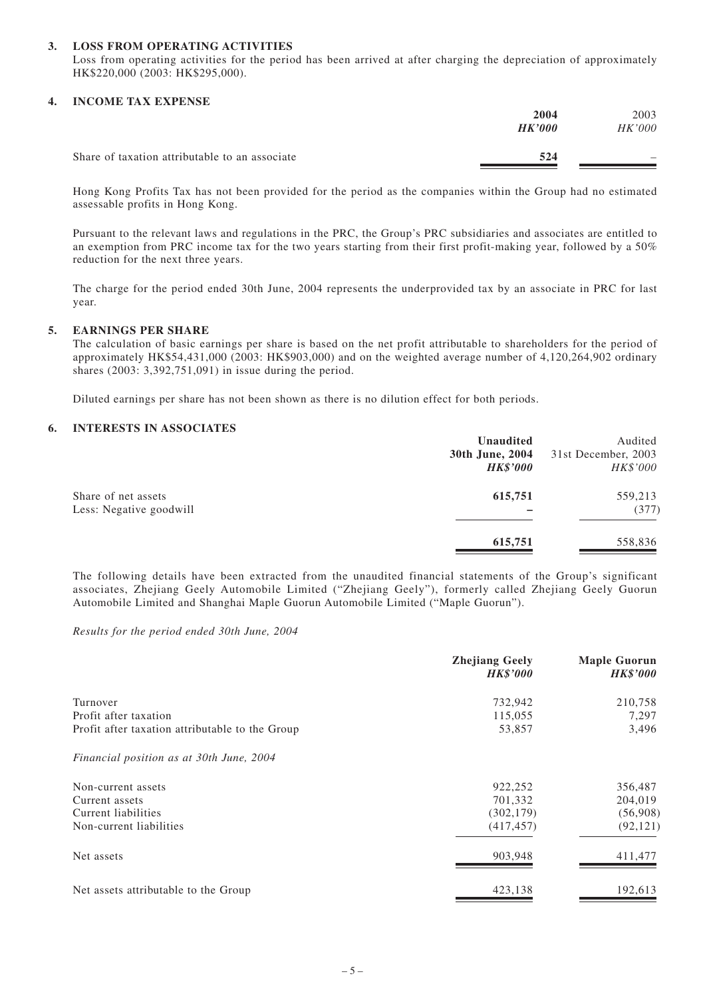#### **3. LOSS FROM OPERATING ACTIVITIES**

Loss from operating activities for the period has been arrived at after charging the depreciation of approximately HK\$220,000 (2003: HK\$295,000).

#### **4. INCOME TAX EXPENSE**

|                                                | 2004<br>HK'000 | 2003<br><i>HK'000</i> |
|------------------------------------------------|----------------|-----------------------|
| Share of taxation attributable to an associate | 524            | -                     |

Hong Kong Profits Tax has not been provided for the period as the companies within the Group had no estimated assessable profits in Hong Kong.

Pursuant to the relevant laws and regulations in the PRC, the Group's PRC subsidiaries and associates are entitled to an exemption from PRC income tax for the two years starting from their first profit-making year, followed by a  $50\%$ reduction for the next three years.

The charge for the period ended 30th June, 2004 represents the underprovided tax by an associate in PRC for last year.

#### **5. EARNINGS PER SHARE**

The calculation of basic earnings per share is based on the net profit attributable to shareholders for the period of approximately HK\$54,431,000 (2003: HK\$903,000) and on the weighted average number of 4,120,264,902 ordinary shares (2003: 3,392,751,091) in issue during the period.

Diluted earnings per share has not been shown as there is no dilution effect for both periods.

#### **6. INTERESTS IN ASSOCIATES**

|                         | Unaudited       | Audited             |
|-------------------------|-----------------|---------------------|
|                         | 30th June, 2004 | 31st December, 2003 |
|                         | <b>HK\$'000</b> | HK\$'000            |
| Share of net assets     | 615,751         | 559,213             |
| Less: Negative goodwill |                 | (377)               |
|                         | 615,751         | 558,836             |

The following details have been extracted from the unaudited financial statements of the Group's significant associates, Zhejiang Geely Automobile Limited ("Zhejiang Geely"), formerly called Zhejiang Geely Guorun Automobile Limited and Shanghai Maple Guorun Automobile Limited ("Maple Guorun").

*Results for the period ended 30th June, 2004*

|                                                 | <b>Zhejiang Geely</b><br><b>HK\$'000</b> | <b>Maple Guorun</b><br><b>HK\$'000</b> |
|-------------------------------------------------|------------------------------------------|----------------------------------------|
| Turnover                                        | 732,942                                  | 210,758                                |
| Profit after taxation                           | 115,055                                  | 7,297                                  |
| Profit after taxation attributable to the Group | 53,857                                   | 3,496                                  |
| Financial position as at 30th June, 2004        |                                          |                                        |
| Non-current assets                              | 922,252                                  | 356,487                                |
| Current assets                                  | 701,332                                  | 204,019                                |
| Current liabilities                             | (302, 179)                               | (56,908)                               |
| Non-current liabilities                         | (417, 457)                               | (92, 121)                              |
| Net assets                                      | 903,948                                  | 411,477                                |
| Net assets attributable to the Group            | 423,138                                  | 192,613                                |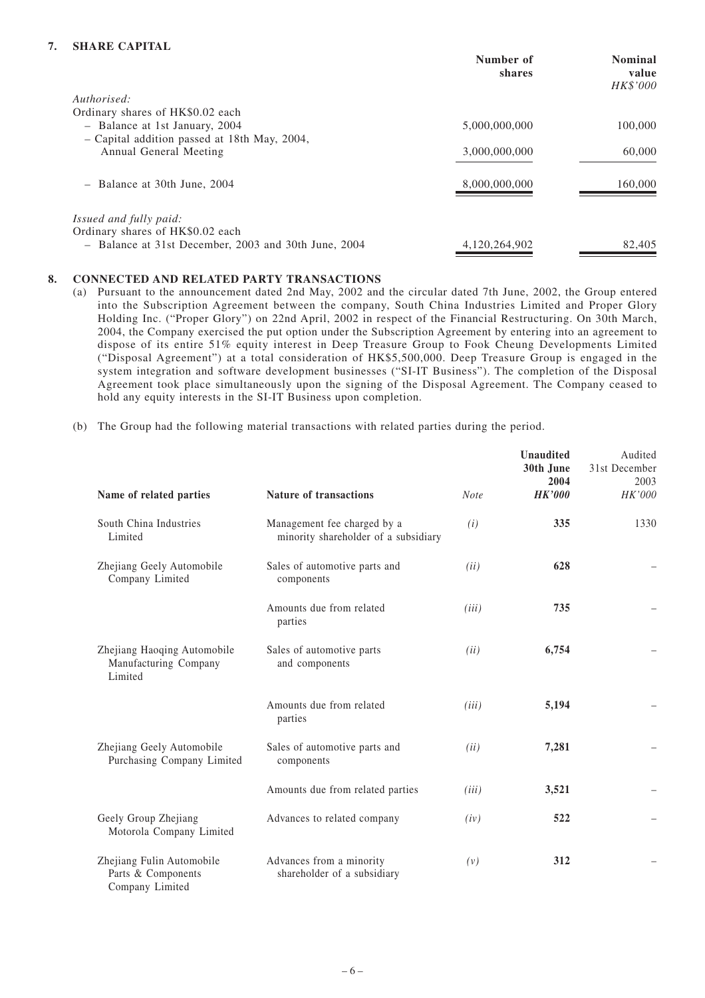#### **7. SHARE CAPITAL**

|                                                      | Number of<br>shares | <b>Nominal</b><br>value<br>HK\$'000 |
|------------------------------------------------------|---------------------|-------------------------------------|
| Authorised:                                          |                     |                                     |
| Ordinary shares of HK\$0.02 each                     |                     |                                     |
| - Balance at 1st January, 2004                       | 5,000,000,000       | 100,000                             |
| - Capital addition passed at 18th May, 2004,         |                     |                                     |
| Annual General Meeting                               | 3,000,000,000       | 60,000                              |
|                                                      |                     |                                     |
| - Balance at 30th June, 2004                         | 8,000,000,000       | 160,000                             |
|                                                      |                     |                                     |
| <i>Issued and fully paid:</i>                        |                     |                                     |
| Ordinary shares of HK\$0.02 each                     |                     |                                     |
| - Balance at 31st December, 2003 and 30th June, 2004 | 4.120.264.902       | 82,405                              |

#### **8. CONNECTED AND RELATED PARTY TRANSACTIONS**

- (a) Pursuant to the announcement dated 2nd May, 2002 and the circular dated 7th June, 2002, the Group entered into the Subscription Agreement between the company, South China Industries Limited and Proper Glory Holding Inc. ("Proper Glory") on 22nd April, 2002 in respect of the Financial Restructuring. On 30th March, 2004, the Company exercised the put option under the Subscription Agreement by entering into an agreement to dispose of its entire 51% equity interest in Deep Treasure Group to Fook Cheung Developments Limited ("Disposal Agreement") at a total consideration of HK\$5,500,000. Deep Treasure Group is engaged in the system integration and software development businesses ("SI-IT Business"). The completion of the Disposal Agreement took place simultaneously upon the signing of the Disposal Agreement. The Company ceased to hold any equity interests in the SI-IT Business upon completion.
- (b) The Group had the following material transactions with related parties during the period.

| Name of related parties                                            | <b>Nature of transactions</b>                                       | <b>Note</b> | <b>Unaudited</b><br>30th June<br>2004<br><b>HK'000</b> | Audited<br>31st December<br>2003<br>HK'000 |
|--------------------------------------------------------------------|---------------------------------------------------------------------|-------------|--------------------------------------------------------|--------------------------------------------|
| South China Industries<br>Limited                                  | Management fee charged by a<br>minority shareholder of a subsidiary | (i)         | 335                                                    | 1330                                       |
| Zhejiang Geely Automobile<br>Company Limited                       | Sales of automotive parts and<br>components                         | (ii)        | 628                                                    |                                            |
|                                                                    | Amounts due from related<br>parties                                 | (iii)       | 735                                                    |                                            |
| Zhejiang Haoqing Automobile<br>Manufacturing Company<br>Limited    | Sales of automotive parts<br>and components                         | (ii)        | 6,754                                                  |                                            |
|                                                                    | Amounts due from related<br>parties                                 | (iii)       | 5,194                                                  |                                            |
| Zhejiang Geely Automobile<br>Purchasing Company Limited            | Sales of automotive parts and<br>components                         | (ii)        | 7,281                                                  |                                            |
|                                                                    | Amounts due from related parties                                    | (iii)       | 3,521                                                  |                                            |
| Geely Group Zhejiang<br>Motorola Company Limited                   | Advances to related company                                         | (iv)        | 522                                                    |                                            |
| Zhejiang Fulin Automobile<br>Parts & Components<br>Company Limited | Advances from a minority<br>shareholder of a subsidiary             | (v)         | 312                                                    |                                            |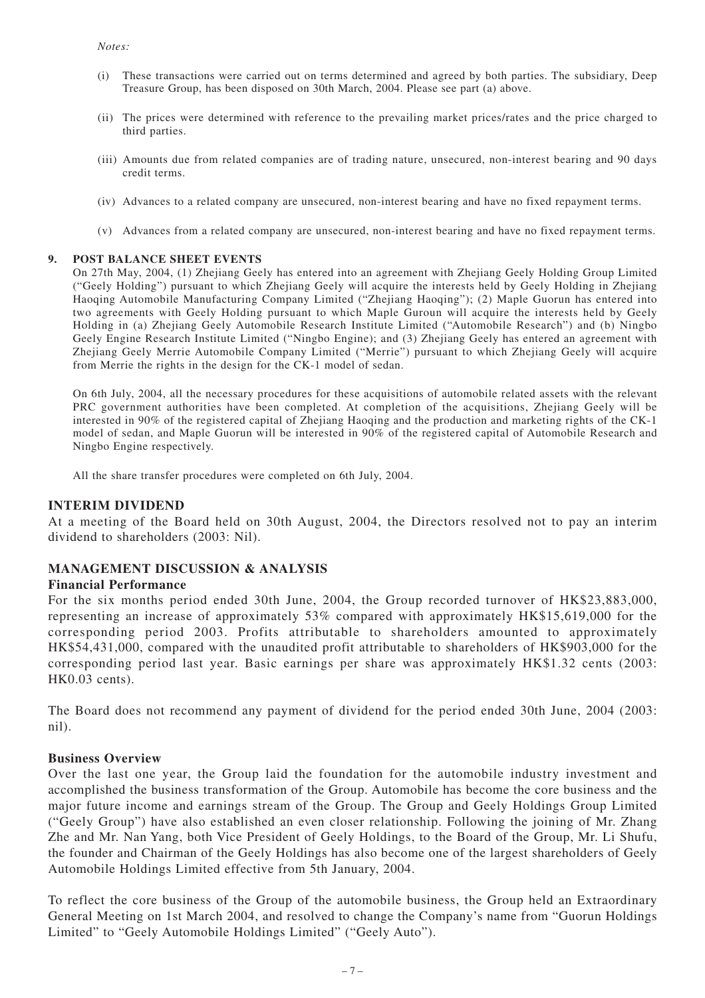- (i) These transactions were carried out on terms determined and agreed by both parties. The subsidiary, Deep Treasure Group, has been disposed on 30th March, 2004. Please see part (a) above.
- (ii) The prices were determined with reference to the prevailing market prices/rates and the price charged to third parties.
- (iii) Amounts due from related companies are of trading nature, unsecured, non-interest bearing and 90 days credit terms.
- (iv) Advances to a related company are unsecured, non-interest bearing and have no fixed repayment terms.
- (v) Advances from a related company are unsecured, non-interest bearing and have no fixed repayment terms.

#### **9. POST BALANCE SHEET EVENTS**

On 27th May, 2004, (1) Zhejiang Geely has entered into an agreement with Zhejiang Geely Holding Group Limited ("Geely Holding") pursuant to which Zhejiang Geely will acquire the interests held by Geely Holding in Zhejiang Haoqing Automobile Manufacturing Company Limited ("Zhejiang Haoqing"); (2) Maple Guorun has entered into two agreements with Geely Holding pursuant to which Maple Guroun will acquire the interests held by Geely Holding in (a) Zhejiang Geely Automobile Research Institute Limited ("Automobile Research") and (b) Ningbo Geely Engine Research Institute Limited ("Ningbo Engine); and (3) Zhejiang Geely has entered an agreement with Zhejiang Geely Merrie Automobile Company Limited ("Merrie") pursuant to which Zhejiang Geely will acquire from Merrie the rights in the design for the CK-1 model of sedan.

On 6th July, 2004, all the necessary procedures for these acquisitions of automobile related assets with the relevant PRC government authorities have been completed. At completion of the acquisitions, Zhejiang Geely will be interested in 90% of the registered capital of Zhejiang Haoqing and the production and marketing rights of the CK-1 model of sedan, and Maple Guorun will be interested in 90% of the registered capital of Automobile Research and Ningbo Engine respectively.

All the share transfer procedures were completed on 6th July, 2004.

#### **INTERIM DIVIDEND**

At a meeting of the Board held on 30th August, 2004, the Directors resolved not to pay an interim dividend to shareholders (2003: Nil).

#### **MANAGEMENT DISCUSSION & ANALYSIS**

#### **Financial Performance**

For the six months period ended 30th June, 2004, the Group recorded turnover of HK\$23,883,000, representing an increase of approximately 53% compared with approximately HK\$15,619,000 for the corresponding period 2003. Profits attributable to shareholders amounted to approximately HK\$54,431,000, compared with the unaudited profit attributable to shareholders of HK\$903,000 for the corresponding period last year. Basic earnings per share was approximately HK\$1.32 cents (2003: HK0.03 cents).

The Board does not recommend any payment of dividend for the period ended 30th June, 2004 (2003: nil).

#### **Business Overview**

Over the last one year, the Group laid the foundation for the automobile industry investment and accomplished the business transformation of the Group. Automobile has become the core business and the major future income and earnings stream of the Group. The Group and Geely Holdings Group Limited ("Geely Group") have also established an even closer relationship. Following the joining of Mr. Zhang Zhe and Mr. Nan Yang, both Vice President of Geely Holdings, to the Board of the Group, Mr. Li Shufu, the founder and Chairman of the Geely Holdings has also become one of the largest shareholders of Geely Automobile Holdings Limited effective from 5th January, 2004.

To reflect the core business of the Group of the automobile business, the Group held an Extraordinary General Meeting on 1st March 2004, and resolved to change the Company's name from "Guorun Holdings Limited" to "Geely Automobile Holdings Limited" ("Geely Auto").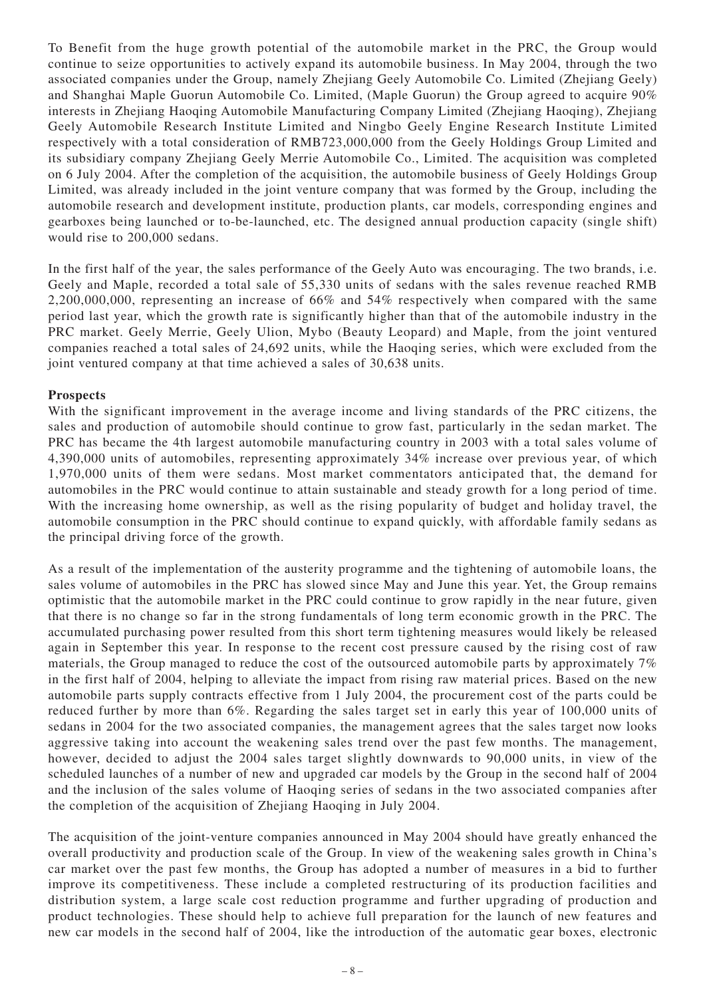To Benefit from the huge growth potential of the automobile market in the PRC, the Group would continue to seize opportunities to actively expand its automobile business. In May 2004, through the two associated companies under the Group, namely Zhejiang Geely Automobile Co. Limited (Zhejiang Geely) and Shanghai Maple Guorun Automobile Co. Limited, (Maple Guorun) the Group agreed to acquire 90% interests in Zhejiang Haoqing Automobile Manufacturing Company Limited (Zhejiang Haoqing), Zhejiang Geely Automobile Research Institute Limited and Ningbo Geely Engine Research Institute Limited respectively with a total consideration of RMB723,000,000 from the Geely Holdings Group Limited and its subsidiary company Zhejiang Geely Merrie Automobile Co., Limited. The acquisition was completed on 6 July 2004. After the completion of the acquisition, the automobile business of Geely Holdings Group Limited, was already included in the joint venture company that was formed by the Group, including the automobile research and development institute, production plants, car models, corresponding engines and gearboxes being launched or to-be-launched, etc. The designed annual production capacity (single shift) would rise to 200,000 sedans.

In the first half of the year, the sales performance of the Geely Auto was encouraging. The two brands, i.e. Geely and Maple, recorded a total sale of 55,330 units of sedans with the sales revenue reached RMB 2,200,000,000, representing an increase of 66% and 54% respectively when compared with the same period last year, which the growth rate is significantly higher than that of the automobile industry in the PRC market. Geely Merrie, Geely Ulion, Mybo (Beauty Leopard) and Maple, from the joint ventured companies reached a total sales of 24,692 units, while the Haoqing series, which were excluded from the joint ventured company at that time achieved a sales of 30,638 units.

## **Prospects**

With the significant improvement in the average income and living standards of the PRC citizens, the sales and production of automobile should continue to grow fast, particularly in the sedan market. The PRC has became the 4th largest automobile manufacturing country in 2003 with a total sales volume of 4,390,000 units of automobiles, representing approximately 34% increase over previous year, of which 1,970,000 units of them were sedans. Most market commentators anticipated that, the demand for automobiles in the PRC would continue to attain sustainable and steady growth for a long period of time. With the increasing home ownership, as well as the rising popularity of budget and holiday travel, the automobile consumption in the PRC should continue to expand quickly, with affordable family sedans as the principal driving force of the growth.

As a result of the implementation of the austerity programme and the tightening of automobile loans, the sales volume of automobiles in the PRC has slowed since May and June this year. Yet, the Group remains optimistic that the automobile market in the PRC could continue to grow rapidly in the near future, given that there is no change so far in the strong fundamentals of long term economic growth in the PRC. The accumulated purchasing power resulted from this short term tightening measures would likely be released again in September this year. In response to the recent cost pressure caused by the rising cost of raw materials, the Group managed to reduce the cost of the outsourced automobile parts by approximately 7% in the first half of 2004, helping to alleviate the impact from rising raw material prices. Based on the new automobile parts supply contracts effective from 1 July 2004, the procurement cost of the parts could be reduced further by more than 6%. Regarding the sales target set in early this year of 100,000 units of sedans in 2004 for the two associated companies, the management agrees that the sales target now looks aggressive taking into account the weakening sales trend over the past few months. The management, however, decided to adjust the 2004 sales target slightly downwards to 90,000 units, in view of the scheduled launches of a number of new and upgraded car models by the Group in the second half of 2004 and the inclusion of the sales volume of Haoqing series of sedans in the two associated companies after the completion of the acquisition of Zhejiang Haoqing in July 2004.

The acquisition of the joint-venture companies announced in May 2004 should have greatly enhanced the overall productivity and production scale of the Group. In view of the weakening sales growth in China's car market over the past few months, the Group has adopted a number of measures in a bid to further improve its competitiveness. These include a completed restructuring of its production facilities and distribution system, a large scale cost reduction programme and further upgrading of production and product technologies. These should help to achieve full preparation for the launch of new features and new car models in the second half of 2004, like the introduction of the automatic gear boxes, electronic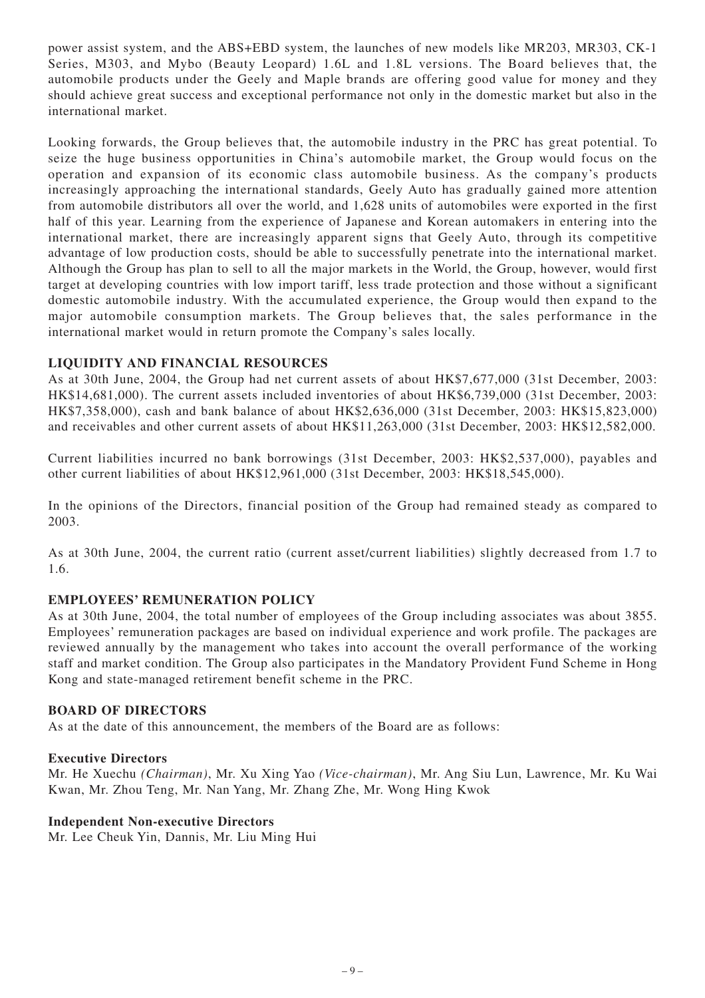power assist system, and the ABS+EBD system, the launches of new models like MR203, MR303, CK-1 Series, M303, and Mybo (Beauty Leopard) 1.6L and 1.8L versions. The Board believes that, the automobile products under the Geely and Maple brands are offering good value for money and they should achieve great success and exceptional performance not only in the domestic market but also in the international market.

Looking forwards, the Group believes that, the automobile industry in the PRC has great potential. To seize the huge business opportunities in China's automobile market, the Group would focus on the operation and expansion of its economic class automobile business. As the company's products increasingly approaching the international standards, Geely Auto has gradually gained more attention from automobile distributors all over the world, and 1,628 units of automobiles were exported in the first half of this year. Learning from the experience of Japanese and Korean automakers in entering into the international market, there are increasingly apparent signs that Geely Auto, through its competitive advantage of low production costs, should be able to successfully penetrate into the international market. Although the Group has plan to sell to all the major markets in the World, the Group, however, would first target at developing countries with low import tariff, less trade protection and those without a significant domestic automobile industry. With the accumulated experience, the Group would then expand to the major automobile consumption markets. The Group believes that, the sales performance in the international market would in return promote the Company's sales locally.

## **LIQUIDITY AND FINANCIAL RESOURCES**

As at 30th June, 2004, the Group had net current assets of about HK\$7,677,000 (31st December, 2003: HK\$14,681,000). The current assets included inventories of about HK\$6,739,000 (31st December, 2003: HK\$7,358,000), cash and bank balance of about HK\$2,636,000 (31st December, 2003: HK\$15,823,000) and receivables and other current assets of about HK\$11,263,000 (31st December, 2003: HK\$12,582,000.

Current liabilities incurred no bank borrowings (31st December, 2003: HK\$2,537,000), payables and other current liabilities of about HK\$12,961,000 (31st December, 2003: HK\$18,545,000).

In the opinions of the Directors, financial position of the Group had remained steady as compared to 2003.

As at 30th June, 2004, the current ratio (current asset/current liabilities) slightly decreased from 1.7 to 1.6.

## **EMPLOYEES' REMUNERATION POLICY**

As at 30th June, 2004, the total number of employees of the Group including associates was about 3855. Employees' remuneration packages are based on individual experience and work profile. The packages are reviewed annually by the management who takes into account the overall performance of the working staff and market condition. The Group also participates in the Mandatory Provident Fund Scheme in Hong Kong and state-managed retirement benefit scheme in the PRC.

#### **BOARD OF DIRECTORS**

As at the date of this announcement, the members of the Board are as follows:

#### **Executive Directors**

Mr. He Xuechu *(Chairman)*, Mr. Xu Xing Yao *(Vice-chairman)*, Mr. Ang Siu Lun, Lawrence, Mr. Ku Wai Kwan, Mr. Zhou Teng, Mr. Nan Yang, Mr. Zhang Zhe, Mr. Wong Hing Kwok

#### **Independent Non-executive Directors**

Mr. Lee Cheuk Yin, Dannis, Mr. Liu Ming Hui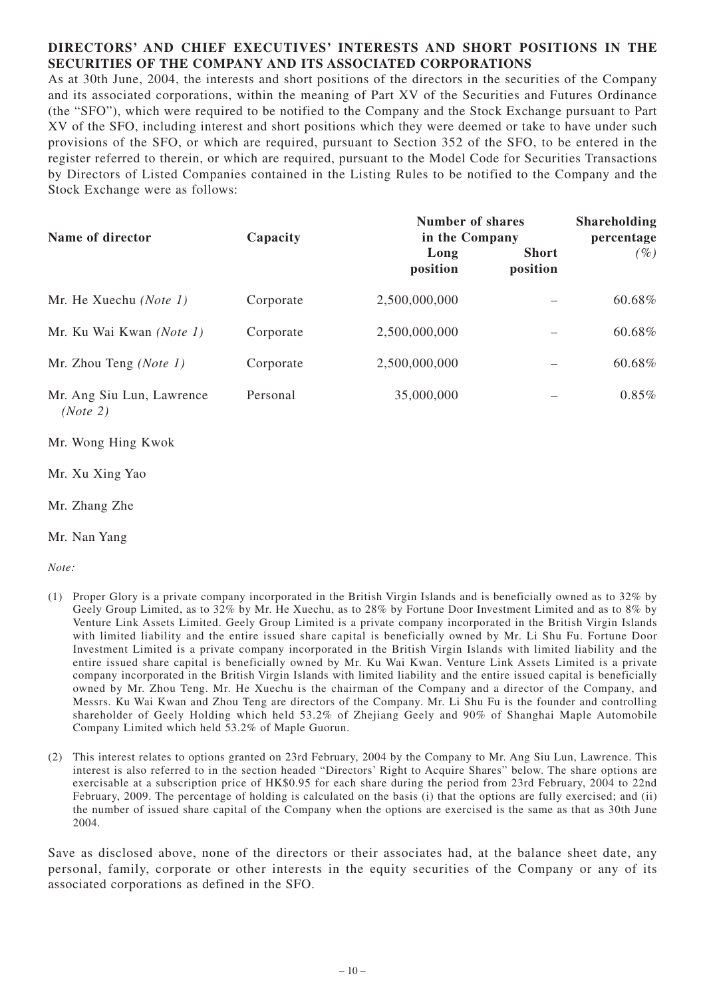## **DIRECTORS' AND CHIEF EXECUTIVES' INTERESTS AND SHORT POSITIONS IN THE SECURITIES OF THE COMPANY AND ITS ASSOCIATED CORPORATIONS**

As at 30th June, 2004, the interests and short positions of the directors in the securities of the Company and its associated corporations, within the meaning of Part XV of the Securities and Futures Ordinance (the "SFO"), which were required to be notified to the Company and the Stock Exchange pursuant to Part XV of the SFO, including interest and short positions which they were deemed or take to have under such provisions of the SFO, or which are required, pursuant to Section 352 of the SFO, to be entered in the register referred to therein, or which are required, pursuant to the Model Code for Securities Transactions by Directors of Listed Companies contained in the Listing Rules to be notified to the Company and the Stock Exchange were as follows:

| Name of director                      | Capacity  | <b>Number of shares</b><br>in the Company | <b>Shareholding</b><br>percentage |        |
|---------------------------------------|-----------|-------------------------------------------|-----------------------------------|--------|
|                                       |           | Long<br>position                          | <b>Short</b><br>position          | $(\%)$ |
| Mr. He Xuechu (Note 1)                | Corporate | 2,500,000,000                             |                                   | 60.68% |
| Mr. Ku Wai Kwan (Note 1)              | Corporate | 2,500,000,000                             |                                   | 60.68% |
| Mr. Zhou Teng ( <i>Note 1</i> )       | Corporate | 2,500,000,000                             |                                   | 60.68% |
| Mr. Ang Siu Lun, Lawrence<br>(Note 2) | Personal  | 35,000,000                                |                                   | 0.85%  |

- Mr. Wong Hing Kwok
- Mr. Xu Xing Yao
- Mr. Zhang Zhe
- Mr. Nan Yang

*Note:*

- (1) Proper Glory is a private company incorporated in the British Virgin Islands and is beneficially owned as to 32% by Geely Group Limited, as to 32% by Mr. He Xuechu, as to 28% by Fortune Door Investment Limited and as to 8% by Venture Link Assets Limited. Geely Group Limited is a private company incorporated in the British Virgin Islands with limited liability and the entire issued share capital is beneficially owned by Mr. Li Shu Fu. Fortune Door Investment Limited is a private company incorporated in the British Virgin Islands with limited liability and the entire issued share capital is beneficially owned by Mr. Ku Wai Kwan. Venture Link Assets Limited is a private company incorporated in the British Virgin Islands with limited liability and the entire issued capital is beneficially owned by Mr. Zhou Teng. Mr. He Xuechu is the chairman of the Company and a director of the Company, and Messrs. Ku Wai Kwan and Zhou Teng are directors of the Company. Mr. Li Shu Fu is the founder and controlling shareholder of Geely Holding which held 53.2% of Zhejiang Geely and 90% of Shanghai Maple Automobile Company Limited which held 53.2% of Maple Guorun.
- (2) This interest relates to options granted on 23rd February, 2004 by the Company to Mr. Ang Siu Lun, Lawrence. This interest is also referred to in the section headed "Directors' Right to Acquire Shares" below. The share options are exercisable at a subscription price of HK\$0.95 for each share during the period from 23rd February, 2004 to 22nd February, 2009. The percentage of holding is calculated on the basis (i) that the options are fully exercised; and (ii) the number of issued share capital of the Company when the options are exercised is the same as that as 30th June 2004.

Save as disclosed above, none of the directors or their associates had, at the balance sheet date, any personal, family, corporate or other interests in the equity securities of the Company or any of its associated corporations as defined in the SFO.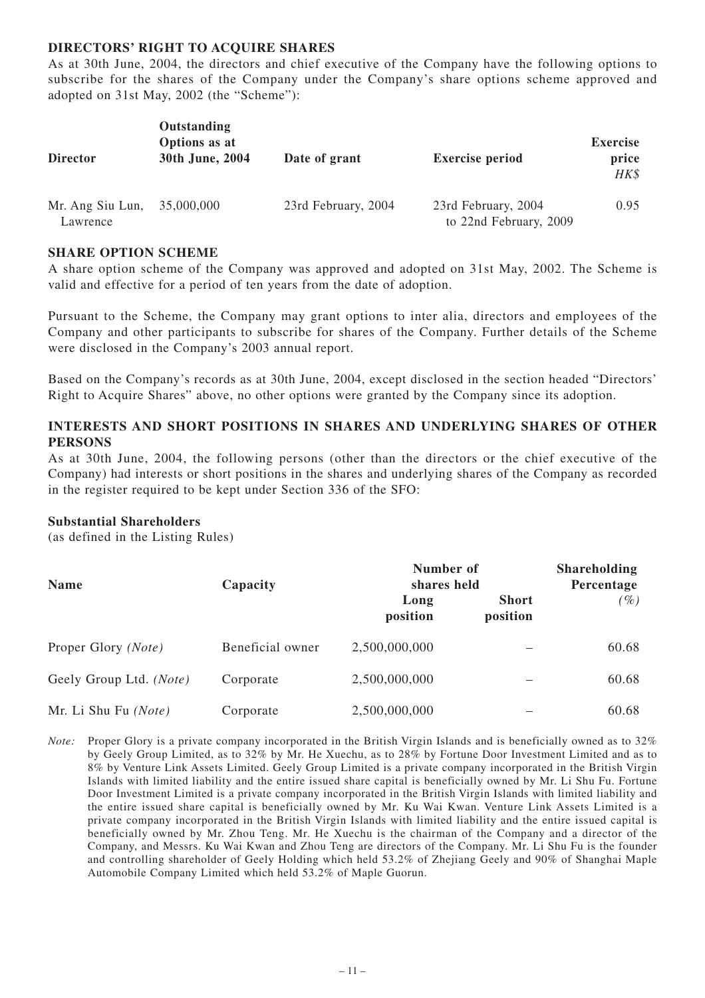## **DIRECTORS' RIGHT TO ACQUIRE SHARES**

As at 30th June, 2004, the directors and chief executive of the Company have the following options to subscribe for the shares of the Company under the Company's share options scheme approved and adopted on 31st May, 2002 (the "Scheme"):

| <b>Director</b>              | Outstanding<br>Options as at<br>30th June, 2004 | Date of grant       | <b>Exercise period</b>                        | <b>Exercise</b><br>price<br>HK\$ |
|------------------------------|-------------------------------------------------|---------------------|-----------------------------------------------|----------------------------------|
| Mr. Ang Siu Lun,<br>Lawrence | 35,000,000                                      | 23rd February, 2004 | 23rd February, 2004<br>to 22nd February, 2009 | 0.95                             |

#### **SHARE OPTION SCHEME**

A share option scheme of the Company was approved and adopted on 31st May, 2002. The Scheme is valid and effective for a period of ten years from the date of adoption.

Pursuant to the Scheme, the Company may grant options to inter alia, directors and employees of the Company and other participants to subscribe for shares of the Company. Further details of the Scheme were disclosed in the Company's 2003 annual report.

Based on the Company's records as at 30th June, 2004, except disclosed in the section headed "Directors' Right to Acquire Shares" above, no other options were granted by the Company since its adoption.

## **INTERESTS AND SHORT POSITIONS IN SHARES AND UNDERLYING SHARES OF OTHER PERSONS**

As at 30th June, 2004, the following persons (other than the directors or the chief executive of the Company) had interests or short positions in the shares and underlying shares of the Company as recorded in the register required to be kept under Section 336 of the SFO:

#### **Substantial Shareholders**

(as defined in the Listing Rules)

| <b>Name</b>             | Capacity         | Number of<br>shares held |                          | <b>Shareholding</b><br>Percentage |
|-------------------------|------------------|--------------------------|--------------------------|-----------------------------------|
|                         |                  | Long<br>position         | <b>Short</b><br>position | $(\%)$                            |
| Proper Glory (Note)     | Beneficial owner | 2,500,000,000            |                          | 60.68                             |
| Geely Group Ltd. (Note) | Corporate        | 2,500,000,000            |                          | 60.68                             |
| Mr. Li Shu Fu (Note)    | Corporate        | 2,500,000,000            |                          | 60.68                             |

*Note:* Proper Glory is a private company incorporated in the British Virgin Islands and is beneficially owned as to 32% by Geely Group Limited, as to 32% by Mr. He Xuechu, as to 28% by Fortune Door Investment Limited and as to 8% by Venture Link Assets Limited. Geely Group Limited is a private company incorporated in the British Virgin Islands with limited liability and the entire issued share capital is beneficially owned by Mr. Li Shu Fu. Fortune Door Investment Limited is a private company incorporated in the British Virgin Islands with limited liability and the entire issued share capital is beneficially owned by Mr. Ku Wai Kwan. Venture Link Assets Limited is a private company incorporated in the British Virgin Islands with limited liability and the entire issued capital is beneficially owned by Mr. Zhou Teng. Mr. He Xuechu is the chairman of the Company and a director of the Company, and Messrs. Ku Wai Kwan and Zhou Teng are directors of the Company. Mr. Li Shu Fu is the founder and controlling shareholder of Geely Holding which held 53.2% of Zhejiang Geely and 90% of Shanghai Maple Automobile Company Limited which held 53.2% of Maple Guorun.